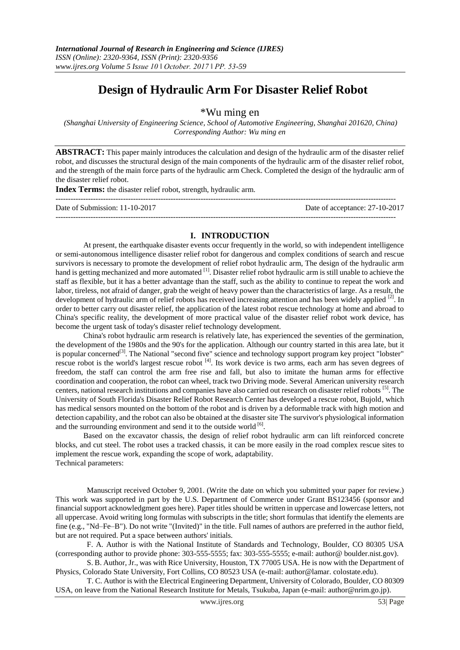# **Design of Hydraulic Arm For Disaster Relief Robot**

\*Wu ming en

*(Shanghai University of Engineering Science, School of Automotive Engineering, Shanghai 201620, China) Corresponding Author: Wu ming en*

**ABSTRACT:** This paper mainly introduces the calculation and design of the hydraulic arm of the disaster relief robot, and discusses the structural design of the main components of the hydraulic arm of the disaster relief robot, and the strength of the main force parts of the hydraulic arm Check. Completed the design of the hydraulic arm of the disaster relief robot.

**Index Terms:** the disaster relief robot, strength, hydraulic arm.

| Date of Submission: 11-10-2017 | Date of acceptance: 27-10-2017 |
|--------------------------------|--------------------------------|
|                                |                                |

#### **I. INTRODUCTION**

At present, the earthquake disaster events occur frequently in the world, so with independent intelligence or semi-autonomous intelligence disaster relief robot for dangerous and complex conditions of search and rescue survivors is necessary to promote the development of relief robot hydraulic arm, The design of the hydraulic arm hand is getting mechanized and more automated <sup>[1]</sup>. Disaster relief robot hydraulic arm is still unable to achieve the staff as flexible, but it has a better advantage than the staff, such as the ability to continue to repeat the work and labor, tireless, not afraid of danger, grab the weight of heavy power than the characteristics of large. As a result, the development of hydraulic arm of relief robots has received increasing attention and has been widely applied <sup>[2]</sup>. In order to better carry out disaster relief, the application of the latest robot rescue technology at home and abroad to China's specific reality, the development of more practical value of the disaster relief robot work device, has become the urgent task of today's disaster relief technology development.

China's robot hydraulic arm research is relatively late, has experienced the seventies of the germination, the development of the 1980s and the 90's for the application. Although our country started in this area late, but it is popular concerned<sup>[3]</sup>. The National "second five" science and technology support program key project "lobster" rescue robot is the world's largest rescue robot [4]. Its work device is two arms, each arm has seven degrees of freedom, the staff can control the arm free rise and fall, but also to imitate the human arms for effective coordination and cooperation, the robot can wheel, track two Driving mode. Several American university research centers, national research institutions and companies have also carried out research on disaster relief robots [5] . The University of South Florida's Disaster Relief Robot Research Center has developed a rescue robot, Bujold, which has medical sensors mounted on the bottom of the robot and is driven by a deformable track with high motion and detection capability, and the robot can also be obtained at the disaster site The survivor's physiological information and the surrounding environment and send it to the outside world [6].

Based on the excavator chassis, the design of relief robot hydraulic arm can lift reinforced concrete blocks, and cut steel. The robot uses a tracked chassis, it can be more easily in the road complex rescue sites to implement the rescue work, expanding the scope of work, adaptability. Technical parameters:

Manuscript received October 9, 2001. (Write the date on which you submitted your paper for review.) This work was supported in part by the U.S. Department of Commerce under Grant BS123456 (sponsor and financial support acknowledgment goes here). Paper titles should be written in uppercase and lowercase letters, not all uppercase. Avoid writing long formulas with subscripts in the title; short formulas that identify the elements are fine (e.g., "Nd–Fe–B"). Do not write "(Invited)" in the title. Full names of authors are preferred in the author field, but are not required. Put a space between authors' initials.

F. A. Author is with the National Institute of Standards and Technology, Boulder, CO 80305 USA (corresponding author to provide phone: 303-555-5555; fax: 303-555-5555; e-mail: author@ boulder.nist.gov).

S. B. Author, Jr., was with Rice University, Houston, TX 77005 USA. He is now with the Department of Physics, Colorado State University, Fort Collins, CO 80523 USA (e-mail: author@lamar. colostate.edu).

T. C. Author is with the Electrical Engineering Department, University of Colorado, Boulder, CO 80309 USA, on leave from the National Research Institute for Metals, Tsukuba, Japan (e-mail: author@nrim.go.jp).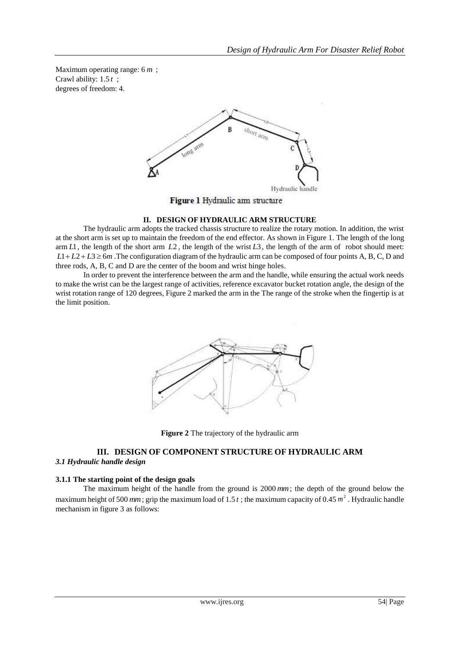Maximum operating range: 6 *m* ; Crawl ability: 1.5 *t* ; degrees of freedom: 4.



Figure 1 Hydraulic am structure

# **II. DESIGN OF HYDRAULIC ARM STRUCTURE**

The hydraulic arm adopts the tracked chassis structure to realize the rotary motion. In addition, the wrist at the short arm is set up to maintain the freedom of the end effector. As shown in Figure 1. The length of the long  $\lim L1$ , the length of the short arm  $L2$ , the length of the wrist  $L3$ , the length of the arm of robot should meet:  $L1 + L2 + L3 \ge 6m$ . The configuration diagram of the hydraulic arm can be composed of four points A, B, C, D and three rods, A, B, C and D are the center of the boom and wrist hinge holes.

In order to prevent the interference between the arm and the handle, while ensuring the actual work needs to make the wrist can be the largest range of activities, reference excavator bucket rotation angle, the design of the wrist rotation range of 120 degrees, Figure 2 marked the arm in the The range of the stroke when the fingertip is at the limit position.



**Figure 2** The trajectory of the hydraulic arm

# **III. DESIGN OF COMPONENT STRUCTURE OF HYDRAULIC ARM**

# *3.1 Hydraulic handle design*

# **3.1.1 The starting point of the design goals**

The maximum height of the handle from the ground is 2000 *mm* ; the depth of the ground below the maximum height of 500 mm; grip the maximum load of 1.5  $t$ ; the maximum capacity of 0.45  $m<sup>2</sup>$ . Hydraulic handle mechanism in figure 3 as follows: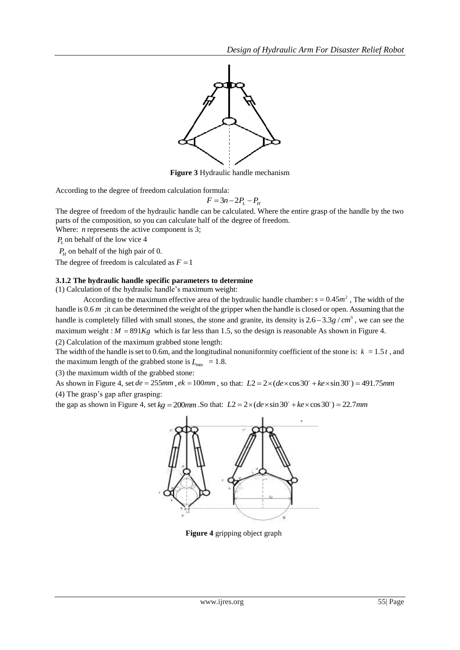

**Figure 3** Hydraulic handle mechanism

According to the degree of freedom calculation formula:

$$
F = 3n - 2P_L - P_H
$$

The degree of freedom of the hydraulic handle can be calculated. Where the entire grasp of the handle by the two parts of the composition, so you can calculate half of the degree of freedom.

Where:  *represents the active component is 3;* 

*PL* on behalf of the low vice 4

 $P_H$  on behalf of the high pair of 0.

The degree of freedom is calculated as  $F = 1$ 

#### **3.1.2 The hydraulic handle specific parameters to determine**

(1) Calculation of the hydraulic handle's maximum weight:

According to the maximum effective area of the hydraulic handle chamber:  $s = 0.45m^2$ , The width of the handle is 0.6 m ; it can be determined the weight of the gripper when the handle is closed or open. Assuming that the handle is completely filled with small stones, the stone and granite, its density is  $2.6 - 3.3g / cm<sup>3</sup>$ , we can see the maximum weight :  $M = 891Kg$  which is far less than 1.5, so the design is reasonable As shown in Figure 4.

(2) Calculation of the maximum grabbed stone length:

The width of the handle is set to 0.6m, and the longitudinal nonuniformity coefficient of the stone is:  $k = 1.5 t$ , and the maximum length of the grabbed stone is  $L_{\text{min}} = 1.8$ .

(3) the maximum width of the grabbed stone:

(3) the maximum width of the grabbed stone:<br>As shown in Figure 4, set  $de = 255mm$ ,  $ek = 100mm$ , so that:  $L2 = 2 \times (de \times \cos 30^\circ + ke \times \sin 30^\circ) = 491.75mm$ 

(4) The grasp's gap after grasping:

(4) The grasp's gap after grasping:<br>the gap as shown in Figure 4, set  $kg = 200$ mm .So that:  $L2 = 2 \times (de \times \sin 30^\circ + ke \times \cos 30^\circ) = 22.7$ mm



**Figure 4** gripping object graph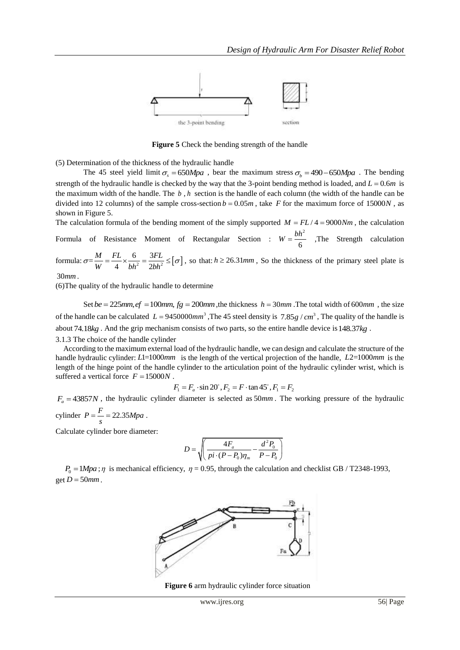

**Figure 5** Check the bending strength of the handle

(5) Determination of the thickness of the hydraulic handle

The 45 steel yield limit  $\sigma_s = 650 Mpa$ , bear the maximum stress  $\sigma_b = 490 - 650 Mpa$ . The bending strength of the hydraulic handle is checked by the way that the 3-point bending method is loaded, and  $L = 0.6m$  is the maximum width of the handle. The *b* , *h* section is the handle of each column (the width of the handle can be divided into 12 columns) of the sample cross-section  $b = 0.05m$ , take F for the maximum force of 15000*N*, as shown in Figure 5.

The calculation formula of the bending moment of the simply supported  $M = FL/4 = 9000Nm$ , the calculation Formula of Resistance Moment of Rectangular Section :  $W = \frac{bh^2}{\sigma}$  $W = \frac{bh^2}{6}$  ,The Strength calculation

formula:  $\sigma = \frac{M}{W} = \frac{12}{A} \times \frac{8}{h h^2} = \frac{312}{2 h h^2} \leq [\sigma]$  $=\frac{M}{W}=\frac{FL}{4}\times\frac{6}{bh^2}=\frac{3}{2a}$  $\frac{M}{L}$   $\frac{FL}{V}$   $\frac{6}{L}$   $\frac{3FL}{V}$  $\frac{m}{W} = \frac{12}{4} \times \frac{8}{bh^2} = \frac{314}{2bh}$  $\sigma = \frac{M}{W} = \frac{FL}{A} \times \frac{6}{L^2} = \frac{3FL}{2L^2} \leq [\sigma]$ , so that:  $h \geq 26.31$  *mm*, So the thickness of the primary steel plate is

30*mm* .

(6)The quality of the hydraulic handle to determine

Set  $be = 225mm$ ,  $ef = 100mm$ ,  $fg = 200mm$ , the thickness  $h = 30mm$ . The total width of 600mm, the size of the handle can be calculated  $L = 9450000$ mm<sup>3</sup>, The 45 steel density is 7.85 g /  $cm^3$ , The quality of the handle is about 74.18*kg* . And the grip mechanism consists of two parts, so the entire handle device is 148.37*kg* . 3.1.3 The choice of the handle cylinder

According to the maximum external load of the hydraulic handle, we can design and calculate the structure of the handle hydraulic cylinder: L1=1000mm is the length of the vertical projection of the handle, L2=1000mm is the length of the hinge point of the handle cylinder to the articulation point of the hydraulic cylinder wrist, which is suffered a vertical force  $F = 15000N$ .

$$
F_1 = F_a \cdot \sin 20^\circ, F_2 = F \cdot \tan 45^\circ, F_1 = F_2
$$

 $F_a = 43857N$ , the hydraulic cylinder diameter is selected as  $50mm$ . The working pressure of the hydraulic cylinder  $P = \frac{F}{s} = 22.35 Mpa$ .

Calculate cylinder bore diameter:

$$
D = \sqrt{\left(\frac{4F_a}{pi\cdot(P-P_0)\eta_m} - \frac{d^2P_0}{P-P_0}\right)}
$$

 $P_0 = 1 Mpa$ ;  $\eta$  is mechanical efficiency,  $\eta = 0.95$ , through the calculation and checklist GB / T2348-1993,  $get D = 50 mm$ .



**Figure 6** arm hydraulic cylinder force situation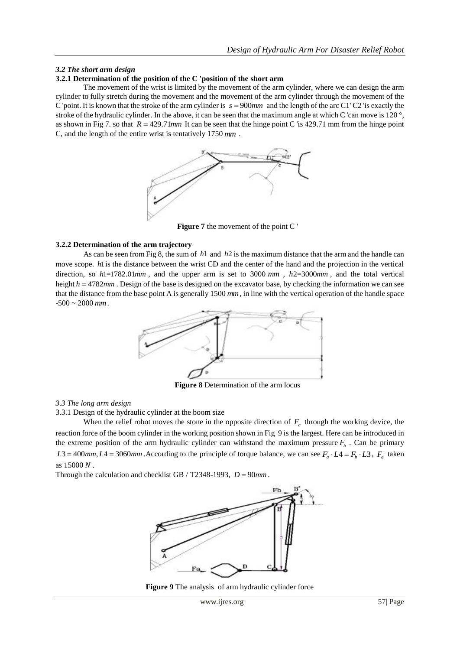# *3.2 The short arm design*

# **3.2.1 Determination of the position of the C 'position of the short arm**

The movement of the wrist is limited by the movement of the arm cylinder, where we can design the arm cylinder to fully stretch during the movement and the movement of the arm cylinder through the movement of the C 'point. It is known that the stroke of the arm cylinder is  $s = 900$  mm and the length of the arc C1' C2 'is exactly the stroke of the hydraulic cylinder. In the above, it can be seen that the maximum angle at which C 'can move is 120 °, as shown in Fig 7. so that  $R = 429.71$  *mm* It can be seen that the hinge point C 'is 429.71 mm from the hinge point C, and the length of the entire wrist is tentatively 1750 *mm* .



**Figure 7** the movement of the point C '

# **3.2.2 Determination of the arm trajectory**

As can be seen from Fig 8, the sum of *h*1 and *h*2 is the maximum distance that the arm and the handle can move scope. *h*1 is the distance between the wrist CD and the center of the hand and the projection in the vertical direction, so  $h1=1782.01mm$ , and the upper arm is set to 3000 mm,  $h2=3000mm$ , and the total vertical height  $h = 4782$  mm. Design of the base is designed on the excavator base, by checking the information we can see that the distance from the base point A is generally 1500 *mm* , in line with the vertical operation of the handle space -500 ~ 2000 *mm*.



**Figure 8** Determination of the arm locus

# *3.3 The long arm design*

3.3.1 Design of the hydraulic cylinder at the boom size

When the relief robot moves the stone in the opposite direction of  $F_a$  through the working device, the reaction force of the boom cylinder in the working position shown in Fig 9 is the largest. Here can be introduced in the extreme position of the arm hydraulic cylinder can withstand the maximum pressure  $F_b$ . Can be primary  $L3 = 400$ mm,  $L4 = 3060$ mm. According to the principle of torque balance, we can see  $F_a \cdot L4 = F_b \cdot L3$ ,  $F_a$  taken as 15000 *N* .

Through the calculation and checklist GB / T2348-1993,  $D = 90$ mm.



**Figure 9** The analysis of arm hydraulic cylinder force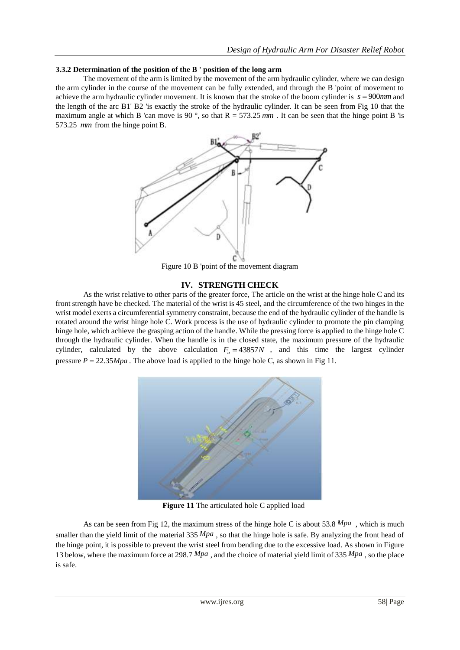#### **3.3.2 Determination of the position of the B ' position of the long arm**

The movement of the arm is limited by the movement of the arm hydraulic cylinder, where we can design the arm cylinder in the course of the movement can be fully extended, and through the B 'point of movement to achieve the arm hydraulic cylinder movement. It is known that the stroke of the boom cylinder is  $s = 900$ *mm* and the length of the arc B1' B2 'is exactly the stroke of the hydraulic cylinder. It can be seen from Fig 10 that the maximum angle at which B 'can move is 90 $\degree$ , so that R = 573.25 mm. It can be seen that the hinge point B 'is 573.25 *mm* from the hinge point B.



Figure 10 B 'point of the movement diagram

# **IV. STRENGTH CHECK**

As the wrist relative to other parts of the greater force, The article on the wrist at the hinge hole C and its front strength have be checked. The material of the wrist is 45 steel, and the circumference of the two hinges in the wrist model exerts a circumferential symmetry constraint, because the end of the hydraulic cylinder of the handle is rotated around the wrist hinge hole C. Work process is the use of hydraulic cylinder to promote the pin clamping hinge hole, which achieve the grasping action of the handle. While the pressing force is applied to the hinge hole C through the hydraulic cylinder. When the handle is in the closed state, the maximum pressure of the hydraulic cylinder, calculated by the above calculation  $F_a = 43857N$ , and this time the largest cylinder pressure  $P = 22.35 Mpa$ . The above load is applied to the hinge hole C, as shown in Fig 11.



**Figure 11** The articulated hole C applied load

As can be seen from Fig 12, the maximum stress of the hinge hole C is about 53.8 *Mpa* , which is much smaller than the yield limit of the material 335  $Mpa$ , so that the hinge hole is safe. By analyzing the front head of the hinge point, it is possible to prevent the wrist steel from bending due to the excessive load. As shown in Figure 13 below, where the maximum force at 298.7 Mpa, and the choice of material yield limit of 335 Mpa, so the place is safe.